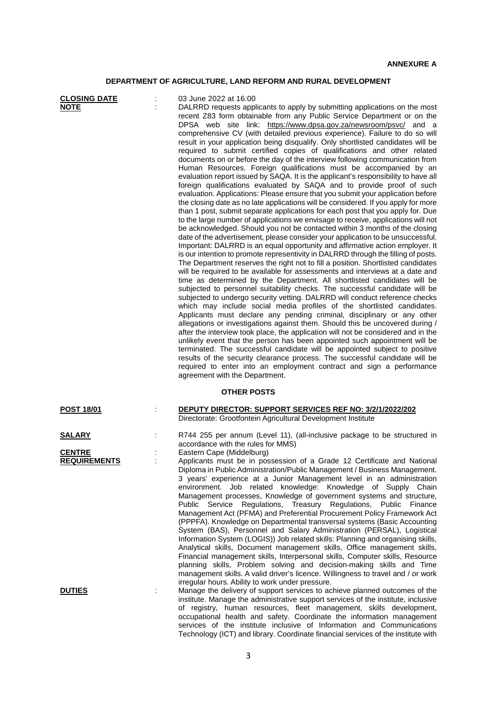## **DEPARTMENT OF AGRICULTURE, LAND REFORM AND RURAL DEVELOPMENT**

| <b>CLOSING DATE</b><br><b>NOTE</b>   | 03 June 2022 at 16:00<br>DALRRD requests applicants to apply by submitting applications on the most<br>recent Z83 form obtainable from any Public Service Department or on the<br>DPSA web site link: https://www.dpsa.gov.za/newsroom/psvc/ and a<br>comprehensive CV (with detailed previous experience). Failure to do so will<br>result in your application being disqualify. Only shortlisted candidates will be<br>required to submit certified copies of qualifications and other related<br>documents on or before the day of the interview following communication from<br>Human Resources. Foreign qualifications must be accompanied by an<br>evaluation report issued by SAQA. It is the applicant's responsibility to have all<br>foreign qualifications evaluated by SAQA and to provide proof of such<br>evaluation. Applications: Please ensure that you submit your application before<br>the closing date as no late applications will be considered. If you apply for more<br>than 1 post, submit separate applications for each post that you apply for. Due<br>to the large number of applications we envisage to receive, applications will not<br>be acknowledged. Should you not be contacted within 3 months of the closing<br>date of the advertisement, please consider your application to be unsuccessful.<br>Important: DALRRD is an equal opportunity and affirmative action employer. It<br>is our intention to promote representivity in DALRRD through the filling of posts.<br>The Department reserves the right not to fill a position. Shortlisted candidates<br>will be required to be available for assessments and interviews at a date and<br>time as determined by the Department. All shortlisted candidates will be<br>subjected to personnel suitability checks. The successful candidate will be<br>subjected to undergo security vetting. DALRRD will conduct reference checks<br>which may include social media profiles of the shortlisted candidates.<br>Applicants must declare any pending criminal, disciplinary or any other<br>allegations or investigations against them. Should this be uncovered during /<br>after the interview took place, the application will not be considered and in the<br>unlikely event that the person has been appointed such appointment will be<br>terminated. The successful candidate will be appointed subject to positive<br>results of the security clearance process. The successful candidate will be<br>required to enter into an employment contract and sign a performance<br>agreement with the Department. |
|--------------------------------------|---------------------------------------------------------------------------------------------------------------------------------------------------------------------------------------------------------------------------------------------------------------------------------------------------------------------------------------------------------------------------------------------------------------------------------------------------------------------------------------------------------------------------------------------------------------------------------------------------------------------------------------------------------------------------------------------------------------------------------------------------------------------------------------------------------------------------------------------------------------------------------------------------------------------------------------------------------------------------------------------------------------------------------------------------------------------------------------------------------------------------------------------------------------------------------------------------------------------------------------------------------------------------------------------------------------------------------------------------------------------------------------------------------------------------------------------------------------------------------------------------------------------------------------------------------------------------------------------------------------------------------------------------------------------------------------------------------------------------------------------------------------------------------------------------------------------------------------------------------------------------------------------------------------------------------------------------------------------------------------------------------------------------------------------------------------------------------------------------------------------------------------------------------------------------------------------------------------------------------------------------------------------------------------------------------------------------------------------------------------------------------------------------------------------------------------------------------------------------------------------------------------------------------------------------------------------------------------------------------------|
|                                      | <b>OTHER POSTS</b>                                                                                                                                                                                                                                                                                                                                                                                                                                                                                                                                                                                                                                                                                                                                                                                                                                                                                                                                                                                                                                                                                                                                                                                                                                                                                                                                                                                                                                                                                                                                                                                                                                                                                                                                                                                                                                                                                                                                                                                                                                                                                                                                                                                                                                                                                                                                                                                                                                                                                                                                                                                            |
| <b>POST 18/01</b>                    | DEPUTY DIRECTOR: SUPPORT SERVICES REF NO: 3/2/1/2022/202<br>Directorate: Grootfontein Agricultural Development Institute                                                                                                                                                                                                                                                                                                                                                                                                                                                                                                                                                                                                                                                                                                                                                                                                                                                                                                                                                                                                                                                                                                                                                                                                                                                                                                                                                                                                                                                                                                                                                                                                                                                                                                                                                                                                                                                                                                                                                                                                                                                                                                                                                                                                                                                                                                                                                                                                                                                                                      |
| <b>SALARY</b>                        | R744 255 per annum (Level 11), (all-inclusive package to be structured in<br>accordance with the rules for MMS)                                                                                                                                                                                                                                                                                                                                                                                                                                                                                                                                                                                                                                                                                                                                                                                                                                                                                                                                                                                                                                                                                                                                                                                                                                                                                                                                                                                                                                                                                                                                                                                                                                                                                                                                                                                                                                                                                                                                                                                                                                                                                                                                                                                                                                                                                                                                                                                                                                                                                               |
| <b>CENTRE</b><br><b>REQUIREMENTS</b> | Eastern Cape (Middelburg)<br>Applicants must be in possession of a Grade 12 Certificate and National<br>Diploma in Public Administration/Public Management / Business Management.<br>3 years' experience at a Junior Management level in an administration<br>environment. Job related knowledge: Knowledge of Supply Chain<br>Management processes, Knowledge of government systems and structure,<br>Public Service Regulations, Treasury Regulations, Public Finance<br>Management Act (PFMA) and Preferential Procurement Policy Framework Act<br>(PPPFA). Knowledge on Departmental transversal systems (Basic Accounting<br>System (BAS), Personnel and Salary Administration (PERSAL), Logistical<br>Information System (LOGIS)) Job related skills: Planning and organising skills,<br>Analytical skills, Document management skills, Office management skills,<br>Financial management skills, Interpersonal skills, Computer skills, Resource<br>planning skills, Problem solving and decision-making skills and Time<br>management skills. A valid driver's licence. Willingness to travel and / or work<br>irregular hours. Ability to work under pressure.                                                                                                                                                                                                                                                                                                                                                                                                                                                                                                                                                                                                                                                                                                                                                                                                                                                                                                                                                                                                                                                                                                                                                                                                                                                                                                                                                                                                                                       |
| <b>DUTIES</b>                        | Manage the delivery of support services to achieve planned outcomes of the<br>institute. Manage the administrative support services of the institute, inclusive<br>of registry, human resources, fleet management, skills development,<br>occupational health and safety. Coordinate the information management<br>services of the institute inclusive of Information and Communications                                                                                                                                                                                                                                                                                                                                                                                                                                                                                                                                                                                                                                                                                                                                                                                                                                                                                                                                                                                                                                                                                                                                                                                                                                                                                                                                                                                                                                                                                                                                                                                                                                                                                                                                                                                                                                                                                                                                                                                                                                                                                                                                                                                                                      |

Technology (ICT) and library. Coordinate financial services of the institute with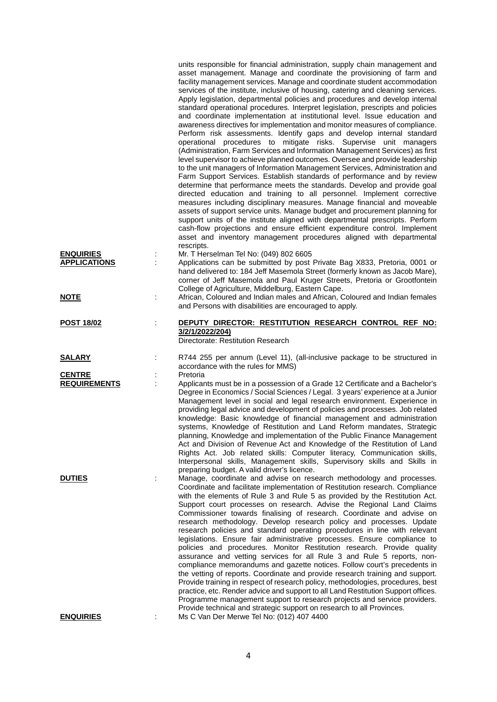|                                         |   | units responsible for financial administration, supply chain management and<br>asset management. Manage and coordinate the provisioning of farm and<br>facility management services. Manage and coordinate student accommodation<br>services of the institute, inclusive of housing, catering and cleaning services.<br>Apply legislation, departmental policies and procedures and develop internal<br>standard operational procedures. Interpret legislation, prescripts and policies<br>and coordinate implementation at institutional level. Issue education and<br>awareness directives for implementation and monitor measures of compliance.<br>Perform risk assessments. Identify gaps and develop internal standard<br>operational procedures to mitigate risks. Supervise unit managers<br>(Administration, Farm Services and Information Management Services) as first<br>level supervisor to achieve planned outcomes. Oversee and provide leadership<br>to the unit managers of Information Management Services, Administration and<br>Farm Support Services. Establish standards of performance and by review<br>determine that performance meets the standards. Develop and provide goal<br>directed education and training to all personnel. Implement corrective<br>measures including disciplinary measures. Manage financial and moveable<br>assets of support service units. Manage budget and procurement planning for<br>support units of the institute aligned with departmental prescripts. Perform<br>cash-flow projections and ensure efficient expenditure control. Implement<br>asset and inventory management procedures aligned with departmental |
|-----------------------------------------|---|---------------------------------------------------------------------------------------------------------------------------------------------------------------------------------------------------------------------------------------------------------------------------------------------------------------------------------------------------------------------------------------------------------------------------------------------------------------------------------------------------------------------------------------------------------------------------------------------------------------------------------------------------------------------------------------------------------------------------------------------------------------------------------------------------------------------------------------------------------------------------------------------------------------------------------------------------------------------------------------------------------------------------------------------------------------------------------------------------------------------------------------------------------------------------------------------------------------------------------------------------------------------------------------------------------------------------------------------------------------------------------------------------------------------------------------------------------------------------------------------------------------------------------------------------------------------------------------------------------------------------------------------------------------------------------|
|                                         |   | rescripts.                                                                                                                                                                                                                                                                                                                                                                                                                                                                                                                                                                                                                                                                                                                                                                                                                                                                                                                                                                                                                                                                                                                                                                                                                                                                                                                                                                                                                                                                                                                                                                                                                                                                      |
| <b>ENQUIRIES</b><br><b>APPLICATIONS</b> | ÷ | Mr. T Herselman Tel No: (049) 802 6605<br>Applications can be submitted by post Private Bag X833, Pretoria, 0001 or<br>hand delivered to: 184 Jeff Masemola Street (formerly known as Jacob Mare),<br>corner of Jeff Masemola and Paul Kruger Streets, Pretoria or Grootfontein<br>College of Agriculture, Middelburg, Eastern Cape.                                                                                                                                                                                                                                                                                                                                                                                                                                                                                                                                                                                                                                                                                                                                                                                                                                                                                                                                                                                                                                                                                                                                                                                                                                                                                                                                            |
| <u>NOTE</u>                             |   | African, Coloured and Indian males and African, Coloured and Indian females<br>and Persons with disabilities are encouraged to apply.                                                                                                                                                                                                                                                                                                                                                                                                                                                                                                                                                                                                                                                                                                                                                                                                                                                                                                                                                                                                                                                                                                                                                                                                                                                                                                                                                                                                                                                                                                                                           |
| <b>POST 18/02</b>                       | ÷ | DEPUTY DIRECTOR: RESTITUTION RESEARCH CONTROL REF NO:<br>3/2/1/2022/204)<br>Directorate: Restitution Research                                                                                                                                                                                                                                                                                                                                                                                                                                                                                                                                                                                                                                                                                                                                                                                                                                                                                                                                                                                                                                                                                                                                                                                                                                                                                                                                                                                                                                                                                                                                                                   |
| <b>SALARY</b>                           |   | R744 255 per annum (Level 11), (all-inclusive package to be structured in                                                                                                                                                                                                                                                                                                                                                                                                                                                                                                                                                                                                                                                                                                                                                                                                                                                                                                                                                                                                                                                                                                                                                                                                                                                                                                                                                                                                                                                                                                                                                                                                       |
|                                         |   | accordance with the rules for MMS)                                                                                                                                                                                                                                                                                                                                                                                                                                                                                                                                                                                                                                                                                                                                                                                                                                                                                                                                                                                                                                                                                                                                                                                                                                                                                                                                                                                                                                                                                                                                                                                                                                              |
| <b>CENTRE</b><br><b>REQUIREMENTS</b>    | t | Pretoria<br>Applicants must be in a possession of a Grade 12 Certificate and a Bachelor's                                                                                                                                                                                                                                                                                                                                                                                                                                                                                                                                                                                                                                                                                                                                                                                                                                                                                                                                                                                                                                                                                                                                                                                                                                                                                                                                                                                                                                                                                                                                                                                       |
|                                         |   | Degree in Economics / Social Sciences / Legal. 3 years' experience at a Junior<br>Management level in social and legal research environment. Experience in<br>providing legal advice and development of policies and processes. Job related<br>knowledge: Basic knowledge of financial management and administration<br>systems, Knowledge of Restitution and Land Reform mandates, Strategic<br>planning, Knowledge and implementation of the Public Finance Management<br>Act and Division of Revenue Act and Knowledge of the Restitution of Land<br>Rights Act. Job related skills: Computer literacy, Communication skills,<br>Interpersonal skills, Management skills, Supervisory skills and Skills in<br>preparing budget. A valid driver's licence.                                                                                                                                                                                                                                                                                                                                                                                                                                                                                                                                                                                                                                                                                                                                                                                                                                                                                                                    |
| <b>DUTIES</b>                           |   | Manage, coordinate and advise on research methodology and processes.<br>Coordinate and facilitate implementation of Restitution research. Compliance<br>with the elements of Rule 3 and Rule 5 as provided by the Restitution Act.<br>Support court processes on research. Advise the Regional Land Claims<br>Commissioner towards finalising of research. Coordinate and advise on<br>research methodology. Develop research policy and processes. Update<br>research policies and standard operating procedures in line with relevant<br>legislations. Ensure fair administrative processes. Ensure compliance to<br>policies and procedures. Monitor Restitution research. Provide quality<br>assurance and vetting services for all Rule 3 and Rule 5 reports, non-<br>compliance memorandums and gazette notices. Follow court's precedents in<br>the vetting of reports. Coordinate and provide research training and support.<br>Provide training in respect of research policy, methodologies, procedures, best<br>practice, etc. Render advice and support to all Land Restitution Support offices.<br>Programme management support to research projects and service providers.<br>Provide technical and strategic support on research to all Provinces.                                                                                                                                                                                                                                                                                                                                                                                                               |
| <b>ENQUIRIES</b>                        |   | Ms C Van Der Merwe Tel No: (012) 407 4400                                                                                                                                                                                                                                                                                                                                                                                                                                                                                                                                                                                                                                                                                                                                                                                                                                                                                                                                                                                                                                                                                                                                                                                                                                                                                                                                                                                                                                                                                                                                                                                                                                       |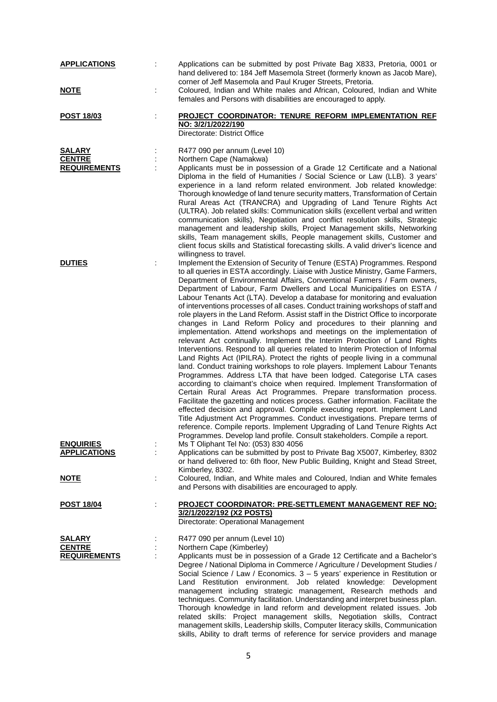| <b>APPLICATIONS</b><br><u>NOTE</u>                    |   | Applications can be submitted by post Private Bag X833, Pretoria, 0001 or<br>hand delivered to: 184 Jeff Masemola Street (formerly known as Jacob Mare),<br>corner of Jeff Masemola and Paul Kruger Streets, Pretoria.<br>Coloured, Indian and White males and African, Coloured, Indian and White                                                                                                                                                                                                                                                                                                                                                                                                                                                                                                                                                                                                                                                                                                                                                                                                                                                                                                                                                                                                                                                                                                                                                                                                                                                                                                                                                                                        |
|-------------------------------------------------------|---|-------------------------------------------------------------------------------------------------------------------------------------------------------------------------------------------------------------------------------------------------------------------------------------------------------------------------------------------------------------------------------------------------------------------------------------------------------------------------------------------------------------------------------------------------------------------------------------------------------------------------------------------------------------------------------------------------------------------------------------------------------------------------------------------------------------------------------------------------------------------------------------------------------------------------------------------------------------------------------------------------------------------------------------------------------------------------------------------------------------------------------------------------------------------------------------------------------------------------------------------------------------------------------------------------------------------------------------------------------------------------------------------------------------------------------------------------------------------------------------------------------------------------------------------------------------------------------------------------------------------------------------------------------------------------------------------|
|                                                       |   | females and Persons with disabilities are encouraged to apply.                                                                                                                                                                                                                                                                                                                                                                                                                                                                                                                                                                                                                                                                                                                                                                                                                                                                                                                                                                                                                                                                                                                                                                                                                                                                                                                                                                                                                                                                                                                                                                                                                            |
| POST 18/03                                            | ÷ | PROJECT COORDINATOR: TENURE REFORM IMPLEMENTATION REF<br>NO: 3/2/1/2022/190<br>Directorate: District Office                                                                                                                                                                                                                                                                                                                                                                                                                                                                                                                                                                                                                                                                                                                                                                                                                                                                                                                                                                                                                                                                                                                                                                                                                                                                                                                                                                                                                                                                                                                                                                               |
| <b>SALARY</b><br><b>CENTRE</b><br><b>REQUIREMENTS</b> |   | R477 090 per annum (Level 10)<br>Northern Cape (Namakwa)<br>Applicants must be in possession of a Grade 12 Certificate and a National<br>Diploma in the field of Humanities / Social Science or Law (LLB). 3 years'<br>experience in a land reform related environment. Job related knowledge:<br>Thorough knowledge of land tenure security matters, Transformation of Certain<br>Rural Areas Act (TRANCRA) and Upgrading of Land Tenure Rights Act<br>(ULTRA). Job related skills: Communication skills (excellent verbal and written<br>communication skills), Negotiation and conflict resolution skills, Strategic<br>management and leadership skills, Project Management skills, Networking<br>skills, Team management skills, People management skills, Customer and<br>client focus skills and Statistical forecasting skills. A valid driver's licence and<br>willingness to travel.                                                                                                                                                                                                                                                                                                                                                                                                                                                                                                                                                                                                                                                                                                                                                                                            |
| <b>DUTIES</b>                                         |   | Implement the Extension of Security of Tenure (ESTA) Programmes. Respond<br>to all queries in ESTA accordingly. Liaise with Justice Ministry, Game Farmers,<br>Department of Environmental Affairs, Conventional Farmers / Farm owners,<br>Department of Labour, Farm Dwellers and Local Municipalities on ESTA /<br>Labour Tenants Act (LTA). Develop a database for monitoring and evaluation<br>of interventions processes of all cases. Conduct training workshops of staff and<br>role players in the Land Reform. Assist staff in the District Office to incorporate<br>changes in Land Reform Policy and procedures to their planning and<br>implementation. Attend workshops and meetings on the implementation of<br>relevant Act continually. Implement the Interim Protection of Land Rights<br>Interventions. Respond to all queries related to Interim Protection of Informal<br>Land Rights Act (IPILRA). Protect the rights of people living in a communal<br>land. Conduct training workshops to role players. Implement Labour Tenants<br>Programmes. Address LTA that have been lodged. Categorise LTA cases<br>according to claimant's choice when required. Implement Transformation of<br>Certain Rural Areas Act Programmes. Prepare transformation process.<br>Facilitate the gazetting and notices process. Gather information. Facilitate the<br>effected decision and approval. Compile executing report. Implement Land<br>Title Adjustment Act Programmes. Conduct investigations. Prepare terms of<br>reference. Compile reports. Implement Upgrading of Land Tenure Rights Act<br>Programmes. Develop land profile. Consult stakeholders. Compile a report. |
| <b>ENQUIRIES</b><br><b>APPLICATIONS</b>               |   | Ms T Oliphant Tel No: (053) 830 4056<br>Applications can be submitted by post to Private Bag X5007, Kimberley, 8302<br>or hand delivered to: 6th floor, New Public Building, Knight and Stead Street,<br>Kimberley, 8302.                                                                                                                                                                                                                                                                                                                                                                                                                                                                                                                                                                                                                                                                                                                                                                                                                                                                                                                                                                                                                                                                                                                                                                                                                                                                                                                                                                                                                                                                 |
| <u>NOTE</u>                                           | t | Coloured, Indian, and White males and Coloured, Indian and White females<br>and Persons with disabilities are encouraged to apply.                                                                                                                                                                                                                                                                                                                                                                                                                                                                                                                                                                                                                                                                                                                                                                                                                                                                                                                                                                                                                                                                                                                                                                                                                                                                                                                                                                                                                                                                                                                                                        |
| POST 18/04                                            | ÷ | PROJECT COORDINATOR: PRE-SETTLEMENT MANAGEMENT REF NO:<br>3/2/1/2022/192 (X2 POSTS)<br>Directorate: Operational Management                                                                                                                                                                                                                                                                                                                                                                                                                                                                                                                                                                                                                                                                                                                                                                                                                                                                                                                                                                                                                                                                                                                                                                                                                                                                                                                                                                                                                                                                                                                                                                |
| <b>SALARY</b><br><b>CENTRE</b><br><b>REQUIREMENTS</b> |   | R477 090 per annum (Level 10)<br>Northern Cape (Kimberley)<br>Applicants must be in possession of a Grade 12 Certificate and a Bachelor's<br>Degree / National Diploma in Commerce / Agriculture / Development Studies /<br>Social Science / Law / Economics. $3 - 5$ years' experience in Restitution or<br>Land Restitution environment. Job related knowledge: Development<br>management including strategic management, Research methods and<br>techniques. Community facilitation. Understanding and interpret business plan.<br>Thorough knowledge in land reform and development related issues. Job<br>related skills: Project management skills, Negotiation skills, Contract<br>management skills, Leadership skills, Computer literacy skills, Communication<br>skills, Ability to draft terms of reference for service providers and manage                                                                                                                                                                                                                                                                                                                                                                                                                                                                                                                                                                                                                                                                                                                                                                                                                                   |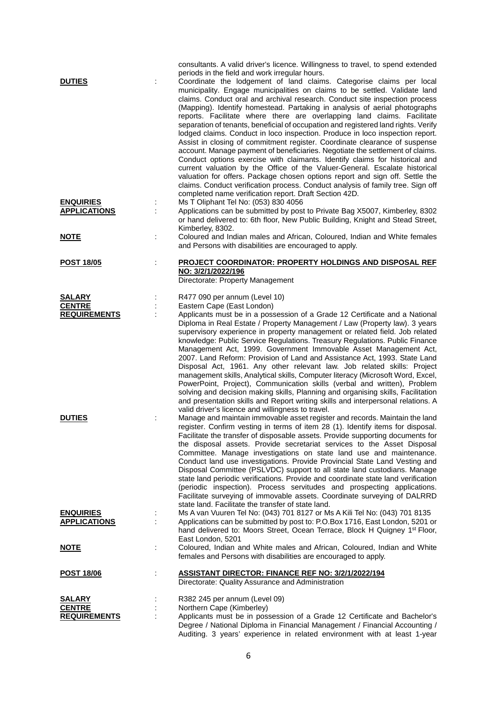| <b>DUTIES</b>                           |   | consultants. A valid driver's licence. Willingness to travel, to spend extended<br>periods in the field and work irregular hours.<br>Coordinate the lodgement of land claims. Categorise claims per local                                                                                                                                                                                                                                                                                                                                                                                                                                                                                                                                                                                                                                                                                                                                                                                                                                          |
|-----------------------------------------|---|----------------------------------------------------------------------------------------------------------------------------------------------------------------------------------------------------------------------------------------------------------------------------------------------------------------------------------------------------------------------------------------------------------------------------------------------------------------------------------------------------------------------------------------------------------------------------------------------------------------------------------------------------------------------------------------------------------------------------------------------------------------------------------------------------------------------------------------------------------------------------------------------------------------------------------------------------------------------------------------------------------------------------------------------------|
|                                         |   | municipality. Engage municipalities on claims to be settled. Validate land<br>claims. Conduct oral and archival research. Conduct site inspection process<br>(Mapping). Identify homestead. Partaking in analysis of aerial photographs<br>reports. Facilitate where there are overlapping land claims. Facilitate<br>separation of tenants, beneficial of occupation and registered land rights. Verify<br>lodged claims. Conduct in loco inspection. Produce in loco inspection report.<br>Assist in closing of commitment register. Coordinate clearance of suspense<br>account. Manage payment of beneficiaries. Negotiate the settlement of claims.<br>Conduct options exercise with claimants. Identify claims for historical and<br>current valuation by the Office of the Valuer-General. Escalate historical<br>valuation for offers. Package chosen options report and sign off. Settle the<br>claims. Conduct verification process. Conduct analysis of family tree. Sign off<br>completed name verification report. Draft Section 42D. |
| <b>ENQUIRIES</b><br><b>APPLICATIONS</b> | ÷ | Ms T Oliphant Tel No: (053) 830 4056<br>Applications can be submitted by post to Private Bag X5007, Kimberley, 8302<br>or hand delivered to: 6th floor, New Public Building, Knight and Stead Street,<br>Kimberley, 8302.                                                                                                                                                                                                                                                                                                                                                                                                                                                                                                                                                                                                                                                                                                                                                                                                                          |
| <u>NOTE</u>                             |   | Coloured and Indian males and African, Coloured, Indian and White females<br>and Persons with disabilities are encouraged to apply.                                                                                                                                                                                                                                                                                                                                                                                                                                                                                                                                                                                                                                                                                                                                                                                                                                                                                                                |
| <b>POST 18/05</b>                       |   | <b>PROJECT COORDINATOR: PROPERTY HOLDINGS AND DISPOSAL REF</b><br>NO: 3/2/1/2022/196<br>Directorate: Property Management                                                                                                                                                                                                                                                                                                                                                                                                                                                                                                                                                                                                                                                                                                                                                                                                                                                                                                                           |
| SALARY                                  |   | R477 090 per annum (Level 10)                                                                                                                                                                                                                                                                                                                                                                                                                                                                                                                                                                                                                                                                                                                                                                                                                                                                                                                                                                                                                      |
| <b>CENTRE</b><br><b>REQUIREMENTS</b>    |   | Eastern Cape (East London)<br>Applicants must be in a possession of a Grade 12 Certificate and a National                                                                                                                                                                                                                                                                                                                                                                                                                                                                                                                                                                                                                                                                                                                                                                                                                                                                                                                                          |
|                                         |   | Diploma in Real Estate / Property Management / Law (Property law). 3 years<br>supervisory experience in property management or related field. Job related<br>knowledge: Public Service Regulations. Treasury Regulations. Public Finance<br>Management Act, 1999. Government Immovable Asset Management Act,<br>2007. Land Reform: Provision of Land and Assistance Act, 1993. State Land<br>Disposal Act, 1961. Any other relevant law. Job related skills: Project<br>management skills, Analytical skills, Computer literacy (Microsoft Word, Excel,<br>PowerPoint, Project), Communication skills (verbal and written), Problem<br>solving and decision making skills, Planning and organising skills, Facilitation<br>and presentation skills and Report writing skills and interpersonal relations. A<br>valid driver's licence and willingness to travel.                                                                                                                                                                                   |
| <b>DUTIES</b>                           |   | Manage and maintain immovable asset register and records. Maintain the land<br>register. Confirm vesting in terms of item 28 (1). Identify items for disposal.<br>Facilitate the transfer of disposable assets. Provide supporting documents for<br>the disposal assets. Provide secretariat services to the Asset Disposal<br>Committee. Manage investigations on state land use and maintenance.<br>Conduct land use investigations. Provide Provincial State Land Vesting and<br>Disposal Committee (PSLVDC) support to all state land custodians. Manage<br>state land periodic verifications. Provide and coordinate state land verification<br>(periodic inspection). Process servitudes and prospecting applications.<br>Facilitate surveying of immovable assets. Coordinate surveying of DALRRD<br>state land. Facilitate the transfer of state land.                                                                                                                                                                                     |
| <b>ENQUIRIES</b><br><b>APPLICATIONS</b> |   | Ms A van Vuuren Tel No: (043) 701 8127 or Ms A Kili Tel No: (043) 701 8135<br>Applications can be submitted by post to: P.O.Box 1716, East London, 5201 or<br>hand delivered to: Moors Street, Ocean Terrace, Block H Quigney 1 <sup>st</sup> Floor,<br>East London, 5201                                                                                                                                                                                                                                                                                                                                                                                                                                                                                                                                                                                                                                                                                                                                                                          |
| <u>NOTE</u>                             | ÷ | Coloured, Indian and White males and African, Coloured, Indian and White<br>females and Persons with disabilities are encouraged to apply.                                                                                                                                                                                                                                                                                                                                                                                                                                                                                                                                                                                                                                                                                                                                                                                                                                                                                                         |
| <u>POST 18/06</u>                       | ÷ | <b>ASSISTANT DIRECTOR: FINANCE REF NO: 3/2/1/2022/194</b><br>Directorate: Quality Assurance and Administration                                                                                                                                                                                                                                                                                                                                                                                                                                                                                                                                                                                                                                                                                                                                                                                                                                                                                                                                     |
| <b>SALARY</b>                           |   | R382 245 per annum (Level 09)                                                                                                                                                                                                                                                                                                                                                                                                                                                                                                                                                                                                                                                                                                                                                                                                                                                                                                                                                                                                                      |
| <b>CENTRE</b>                           |   | Northern Cape (Kimberley)                                                                                                                                                                                                                                                                                                                                                                                                                                                                                                                                                                                                                                                                                                                                                                                                                                                                                                                                                                                                                          |
| <b>REQUIREMENTS</b>                     |   | Applicants must be in possession of a Grade 12 Certificate and Bachelor's<br>Degree / National Diploma in Financial Management / Financial Accounting /<br>Auditing. 3 years' experience in related environment with at least 1-year                                                                                                                                                                                                                                                                                                                                                                                                                                                                                                                                                                                                                                                                                                                                                                                                               |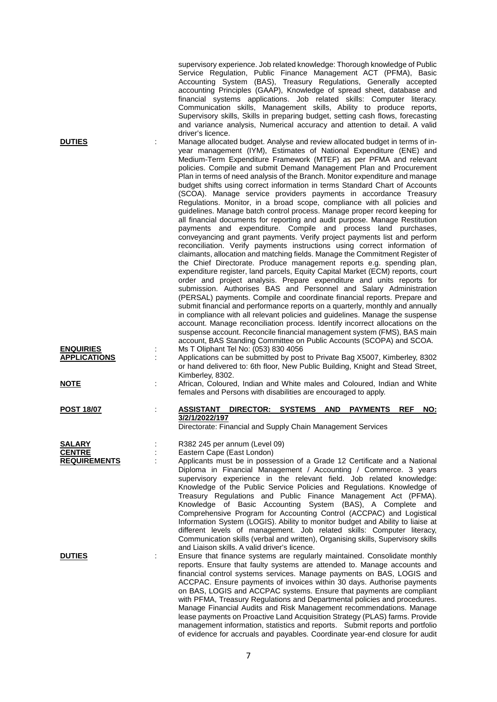|                                         |   | supervisory experience. Job related knowledge: Thorough knowledge of Public<br>Service Regulation, Public Finance Management ACT (PFMA), Basic<br>Accounting System (BAS), Treasury Regulations, Generally accepted<br>accounting Principles (GAAP), Knowledge of spread sheet, database and<br>financial systems applications. Job related skills: Computer literacy.<br>Communication skills, Management skills, Ability to produce reports,<br>Supervisory skills, Skills in preparing budget, setting cash flows, forecasting<br>and variance analysis, Numerical accuracy and attention to detail. A valid<br>driver's licence.                                                                                                                                                                                                                                                                                                                                                                                                                                                                                                                                                                                                                                                                                                                                                                                                                                                                                                                                                                                                                                                                                                                                                                     |
|-----------------------------------------|---|----------------------------------------------------------------------------------------------------------------------------------------------------------------------------------------------------------------------------------------------------------------------------------------------------------------------------------------------------------------------------------------------------------------------------------------------------------------------------------------------------------------------------------------------------------------------------------------------------------------------------------------------------------------------------------------------------------------------------------------------------------------------------------------------------------------------------------------------------------------------------------------------------------------------------------------------------------------------------------------------------------------------------------------------------------------------------------------------------------------------------------------------------------------------------------------------------------------------------------------------------------------------------------------------------------------------------------------------------------------------------------------------------------------------------------------------------------------------------------------------------------------------------------------------------------------------------------------------------------------------------------------------------------------------------------------------------------------------------------------------------------------------------------------------------------|
| <b>DUTIES</b>                           |   | Manage allocated budget. Analyse and review allocated budget in terms of in-<br>year management (IYM), Estimates of National Expenditure (ENE) and<br>Medium-Term Expenditure Framework (MTEF) as per PFMA and relevant<br>policies. Compile and submit Demand Management Plan and Procurement<br>Plan in terms of need analysis of the Branch. Monitor expenditure and manage<br>budget shifts using correct information in terms Standard Chart of Accounts<br>(SCOA). Manage service providers payments in accordance Treasury<br>Regulations. Monitor, in a broad scope, compliance with all policies and<br>guidelines. Manage batch control process. Manage proper record keeping for<br>all financial documents for reporting and audit purpose. Manage Restitution<br>payments and expenditure. Compile and process land purchases,<br>conveyancing and grant payments. Verify project payments list and perform<br>reconciliation. Verify payments instructions using correct information of<br>claimants, allocation and matching fields. Manage the Commitment Register of<br>the Chief Directorate. Produce management reports e.g. spending plan,<br>expenditure register, land parcels, Equity Capital Market (ECM) reports, court<br>order and project analysis. Prepare expenditure and units reports for<br>submission. Authorises BAS and Personnel and Salary Administration<br>(PERSAL) payments. Compile and coordinate financial reports. Prepare and<br>submit financial and performance reports on a quarterly, monthly and annually<br>in compliance with all relevant policies and guidelines. Manage the suspense<br>account. Manage reconciliation process. Identify incorrect allocations on the<br>suspense account. Reconcile financial management system (FMS), BAS main |
| <b>ENQUIRIES</b><br><b>APPLICATIONS</b> |   | account, BAS Standing Committee on Public Accounts (SCOPA) and SCOA.<br>Ms T Oliphant Tel No: (053) 830 4056<br>Applications can be submitted by post to Private Bag X5007, Kimberley, 8302<br>or hand delivered to: 6th floor, New Public Building, Knight and Stead Street,                                                                                                                                                                                                                                                                                                                                                                                                                                                                                                                                                                                                                                                                                                                                                                                                                                                                                                                                                                                                                                                                                                                                                                                                                                                                                                                                                                                                                                                                                                                            |
| <u>NOTE</u>                             | ÷ | Kimberley, 8302.<br>African, Coloured, Indian and White males and Coloured, Indian and White<br>females and Persons with disabilities are encouraged to apply.                                                                                                                                                                                                                                                                                                                                                                                                                                                                                                                                                                                                                                                                                                                                                                                                                                                                                                                                                                                                                                                                                                                                                                                                                                                                                                                                                                                                                                                                                                                                                                                                                                           |
| <b>POST 18/07</b>                       |   | <b>ASSISTANT</b><br>DIRECTOR: SYSTEMS AND PAYMENTS<br><b>REF</b><br>NO:<br>3/2/1/2022/197<br>Directorate: Financial and Supply Chain Management Services                                                                                                                                                                                                                                                                                                                                                                                                                                                                                                                                                                                                                                                                                                                                                                                                                                                                                                                                                                                                                                                                                                                                                                                                                                                                                                                                                                                                                                                                                                                                                                                                                                                 |
| <b>SALARY</b>                           |   | R382 245 per annum (Level 09)                                                                                                                                                                                                                                                                                                                                                                                                                                                                                                                                                                                                                                                                                                                                                                                                                                                                                                                                                                                                                                                                                                                                                                                                                                                                                                                                                                                                                                                                                                                                                                                                                                                                                                                                                                            |
| <b>CENTRE</b>                           |   | Eastern Cape (East London)                                                                                                                                                                                                                                                                                                                                                                                                                                                                                                                                                                                                                                                                                                                                                                                                                                                                                                                                                                                                                                                                                                                                                                                                                                                                                                                                                                                                                                                                                                                                                                                                                                                                                                                                                                               |
| <b>REQUIREMENTS</b>                     |   | Applicants must be in possession of a Grade 12 Certificate and a National<br>Diploma in Financial Management / Accounting / Commerce. 3 years<br>supervisory experience in the relevant field. Job related knowledge:<br>Knowledge of the Public Service Policies and Regulations. Knowledge of<br>Treasury Regulations and Public Finance Management Act (PFMA).<br>Knowledge of Basic Accounting System (BAS), A Complete and<br>Comprehensive Program for Accounting Control (ACCPAC) and Logistical<br>Information System (LOGIS). Ability to monitor budget and Ability to liaise at<br>different levels of management. Job related skills: Computer literacy,<br>Communication skills (verbal and written), Organising skills, Supervisory skills<br>and Liaison skills. A valid driver's licence.                                                                                                                                                                                                                                                                                                                                                                                                                                                                                                                                                                                                                                                                                                                                                                                                                                                                                                                                                                                                 |
| <b>DUTIES</b>                           |   | Ensure that finance systems are regularly maintained. Consolidate monthly<br>reports. Ensure that faulty systems are attended to. Manage accounts and<br>financial control systems services. Manage payments on BAS, LOGIS and<br>ACCPAC. Ensure payments of invoices within 30 days. Authorise payments<br>on BAS, LOGIS and ACCPAC systems. Ensure that payments are compliant<br>with PFMA, Treasury Regulations and Departmental policies and procedures.<br>Manage Financial Audits and Risk Management recommendations. Manage<br>lease payments on Proactive Land Acquisition Strategy (PLAS) farms. Provide<br>management information, statistics and reports. Submit reports and portfolio<br>of evidence for accruals and payables. Coordinate year-end closure for audit                                                                                                                                                                                                                                                                                                                                                                                                                                                                                                                                                                                                                                                                                                                                                                                                                                                                                                                                                                                                                      |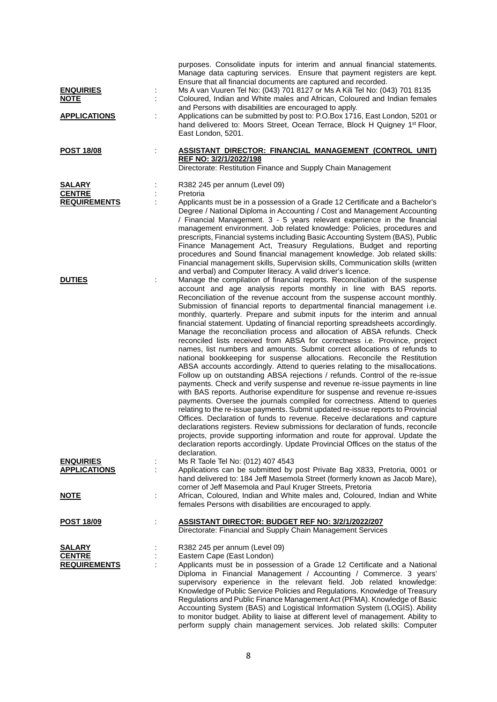| <b>ENQUIRIES</b><br><b>NOTE</b><br><b>APPLICATIONS</b> | İ. | purposes. Consolidate inputs for interim and annual financial statements.<br>Manage data capturing services. Ensure that payment registers are kept.<br>Ensure that all financial documents are captured and recorded.<br>Ms A van Vuuren Tel No: (043) 701 8127 or Ms A Kili Tel No: (043) 701 8135<br>Coloured, Indian and White males and African, Coloured and Indian females<br>and Persons with disabilities are encouraged to apply.<br>Applications can be submitted by post to: P.O.Box 1716, East London, 5201 or<br>hand delivered to: Moors Street, Ocean Terrace, Block H Quigney 1 <sup>st</sup> Floor,<br>East London, 5201.                                                                                                                                                                                                                                                                                                                                                                                                                                                                                                                                                                                                                                                                                                                                                                                                                                                                                                                                                                                                                                                              |
|--------------------------------------------------------|----|----------------------------------------------------------------------------------------------------------------------------------------------------------------------------------------------------------------------------------------------------------------------------------------------------------------------------------------------------------------------------------------------------------------------------------------------------------------------------------------------------------------------------------------------------------------------------------------------------------------------------------------------------------------------------------------------------------------------------------------------------------------------------------------------------------------------------------------------------------------------------------------------------------------------------------------------------------------------------------------------------------------------------------------------------------------------------------------------------------------------------------------------------------------------------------------------------------------------------------------------------------------------------------------------------------------------------------------------------------------------------------------------------------------------------------------------------------------------------------------------------------------------------------------------------------------------------------------------------------------------------------------------------------------------------------------------------------|
| <b>POST 18/08</b>                                      | t  | <b>ASSISTANT DIRECTOR: FINANCIAL MANAGEMENT (CONTROL UNIT)</b><br>REF NO: 3/2/1/2022/198<br>Directorate: Restitution Finance and Supply Chain Management                                                                                                                                                                                                                                                                                                                                                                                                                                                                                                                                                                                                                                                                                                                                                                                                                                                                                                                                                                                                                                                                                                                                                                                                                                                                                                                                                                                                                                                                                                                                                 |
| <b>SALARY</b><br><b>CENTRE</b><br><b>REQUIREMENTS</b>  |    | R382 245 per annum (Level 09)<br>Pretoria<br>Applicants must be in a possession of a Grade 12 Certificate and a Bachelor's<br>Degree / National Diploma in Accounting / Cost and Management Accounting<br>/ Financial Management. 3 - 5 years relevant experience in the financial<br>management environment. Job related knowledge: Policies, procedures and<br>prescripts, Financial systems including Basic Accounting System (BAS), Public<br>Finance Management Act, Treasury Regulations, Budget and reporting<br>procedures and Sound financial management knowledge. Job related skills:<br>Financial management skills, Supervision skills, Communication skills (written                                                                                                                                                                                                                                                                                                                                                                                                                                                                                                                                                                                                                                                                                                                                                                                                                                                                                                                                                                                                                       |
| <b>DUTIES</b>                                          |    | and verbal) and Computer literacy. A valid driver's licence.<br>Manage the compilation of financial reports. Reconciliation of the suspense<br>account and age analysis reports monthly in line with BAS reports.<br>Reconciliation of the revenue account from the suspense account monthly.<br>Submission of financial reports to departmental financial management i.e.<br>monthly, quarterly. Prepare and submit inputs for the interim and annual<br>financial statement. Updating of financial reporting spreadsheets accordingly.<br>Manage the reconciliation process and allocation of ABSA refunds. Check<br>reconciled lists received from ABSA for correctness i.e. Province, project<br>names, list numbers and amounts. Submit correct allocations of refunds to<br>national bookkeeping for suspense allocations. Reconcile the Restitution<br>ABSA accounts accordingly. Attend to queries relating to the misallocations.<br>Follow up on outstanding ABSA rejections / refunds. Control of the re-issue<br>payments. Check and verify suspense and revenue re-issue payments in line<br>with BAS reports. Authorise expenditure for suspense and revenue re-issues<br>payments. Oversee the journals compiled for correctness. Attend to queries<br>relating to the re-issue payments. Submit updated re-issue reports to Provincial<br>Offices. Declaration of funds to revenue. Receive declarations and capture<br>declarations registers. Review submissions for declaration of funds, reconcile<br>projects, provide supporting information and route for approval. Update the<br>declaration reports accordingly. Update Provincial Offices on the status of the<br>declaration. |
| <b>ENQUIRIES</b><br><b>APPLICATIONS</b>                | ÷  | Ms R Taole Tel No: (012) 407 4543<br>Applications can be submitted by post Private Bag X833, Pretoria, 0001 or<br>hand delivered to: 184 Jeff Masemola Street (formerly known as Jacob Mare),<br>corner of Jeff Masemola and Paul Kruger Streets, Pretoria                                                                                                                                                                                                                                                                                                                                                                                                                                                                                                                                                                                                                                                                                                                                                                                                                                                                                                                                                                                                                                                                                                                                                                                                                                                                                                                                                                                                                                               |
| <u>NOTE</u>                                            |    | African, Coloured, Indian and White males and, Coloured, Indian and White<br>females Persons with disabilities are encouraged to apply.                                                                                                                                                                                                                                                                                                                                                                                                                                                                                                                                                                                                                                                                                                                                                                                                                                                                                                                                                                                                                                                                                                                                                                                                                                                                                                                                                                                                                                                                                                                                                                  |
| <u>POST 18/09</u>                                      | ÷  | <b>ASSISTANT DIRECTOR: BUDGET REF NO: 3/2/1/2022/207</b><br>Directorate: Financial and Supply Chain Management Services                                                                                                                                                                                                                                                                                                                                                                                                                                                                                                                                                                                                                                                                                                                                                                                                                                                                                                                                                                                                                                                                                                                                                                                                                                                                                                                                                                                                                                                                                                                                                                                  |
| <b>SALARY</b><br><b>CENTRE</b><br><b>REQUIREMENTS</b>  |    | R382 245 per annum (Level 09)<br>Eastern Cape (East London)<br>Applicants must be in possession of a Grade 12 Certificate and a National<br>Diploma in Financial Management / Accounting / Commerce. 3 years'<br>supervisory experience in the relevant field. Job related knowledge:<br>Knowledge of Public Service Policies and Regulations. Knowledge of Treasury<br>Regulations and Public Finance Management Act (PFMA). Knowledge of Basic<br>Accounting System (BAS) and Logistical Information System (LOGIS). Ability<br>to monitor budget. Ability to liaise at different level of management. Ability to                                                                                                                                                                                                                                                                                                                                                                                                                                                                                                                                                                                                                                                                                                                                                                                                                                                                                                                                                                                                                                                                                      |

perform supply chain management services. Job related skills: Computer